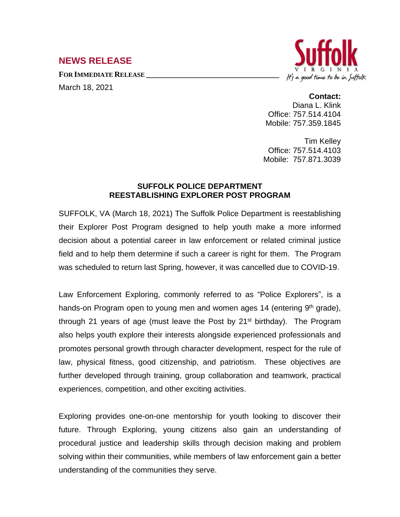## **NEWS RELEASE**

**FOR IMMEDIATE RELEASE \_\_\_\_\_\_\_\_\_\_\_\_\_\_\_\_\_\_\_\_\_\_\_\_\_\_\_\_\_\_\_\_\_\_**

March 18, 2021



**Contact:** Diana L. Klink Office: 757.514.4104 Mobile: 757.359.1845

Tim Kelley Office: 757.514.4103 Mobile: 757.871.3039

## **SUFFOLK POLICE DEPARTMENT REESTABLISHING EXPLORER POST PROGRAM**

SUFFOLK, VA (March 18, 2021) The Suffolk Police Department is reestablishing their Explorer Post Program designed to help youth make a more informed decision about a potential career in law enforcement or related criminal justice field and to help them determine if such a career is right for them. The Program was scheduled to return last Spring, however, it was cancelled due to COVID-19.

Law Enforcement Exploring, commonly referred to as "Police Explorers", is a hands-on Program open to young men and women ages 14 (entering 9<sup>th</sup> grade), through 21 years of age (must leave the Post by 21<sup>st</sup> birthday). The Program also helps youth explore their interests alongside experienced professionals and promotes personal growth through character development, respect for the rule of law, physical fitness, good citizenship, and patriotism. These objectives are further developed through training, group collaboration and teamwork, practical experiences, competition, and other exciting activities.

Exploring provides one-on-one mentorship for youth looking to discover their future. Through Exploring, young citizens also gain an understanding of procedural justice and leadership skills through decision making and problem solving within their communities, while members of law enforcement gain a better understanding of the communities they serve.